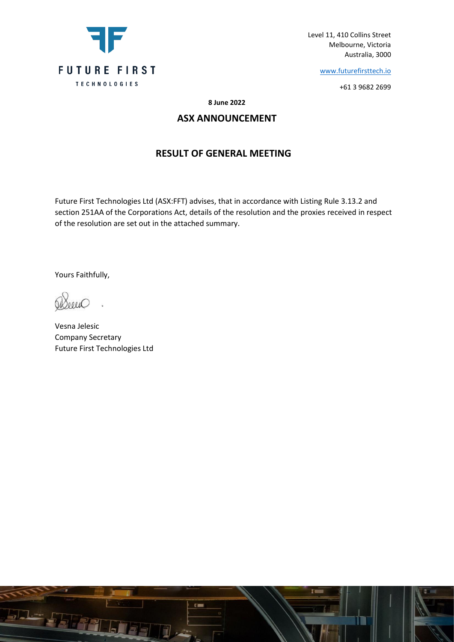

Level 11, 410 Collins Street Melbourne, Victoria Australia, 3000

[www.futurefirsttech.io](http://www.futurefirsttech.io/)

+61 3 9682 2699

**8 June 2022**

## **ASX ANNOUNCEMENT**

## **RESULT OF GENERAL MEETING**

Future First Technologies Ltd (ASX:FFT) advises, that in accordance with Listing Rule 3.13.2 and section 251AA of the Corporations Act, details of the resolution and the proxies received in respect of the resolution are set out in the attached summary.

Yours Faithfully,

Vesna Jelesic Company Secretary Future First Technologies Ltd